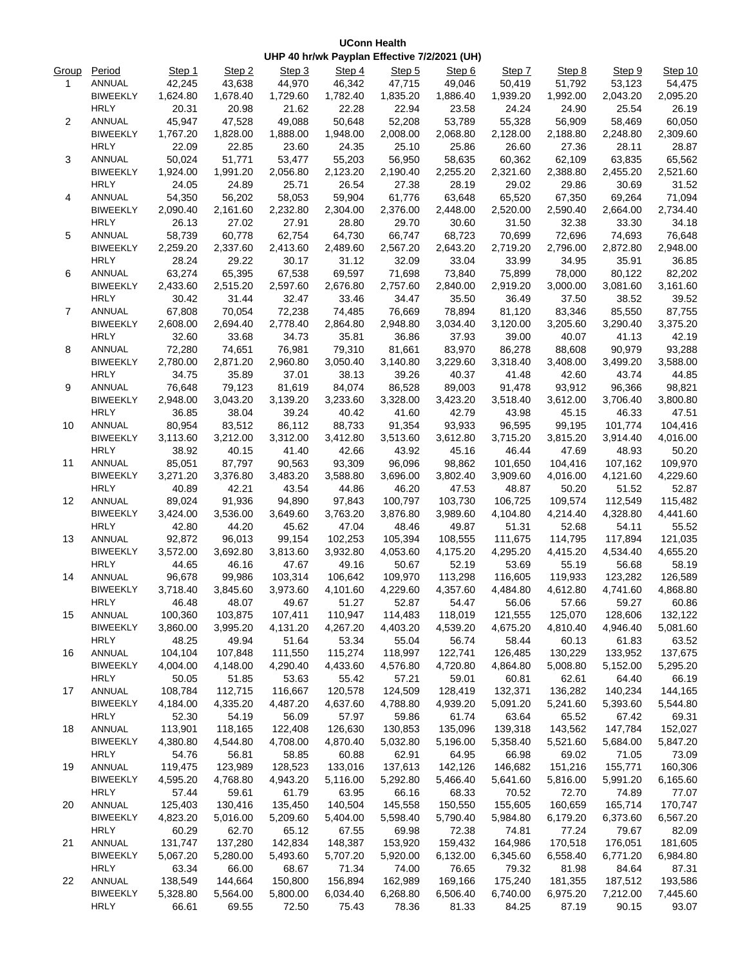## **UConn Health UHP 40 hr/wk Payplan Effective 7/2/2021 (UH)**

| Group          | Period                         | Step 1   | Step 2            | Step 3            | Step 4            | Step 5   | Step 6   | Step 7            | Step 8   | Step 9   | Step 10  |
|----------------|--------------------------------|----------|-------------------|-------------------|-------------------|----------|----------|-------------------|----------|----------|----------|
| 1              | ANNUAL                         | 42,245   | 43,638            | 44,970            | 46,342            | 47,715   | 49,046   | 50,419            | 51,792   | 53,123   | 54,475   |
|                | <b>BIWEEKLY</b>                | 1,624.80 | 1,678.40          | 1,729.60          | 1,782.40          | 1,835.20 | 1,886.40 | 1,939.20          | 1,992.00 | 2,043.20 | 2,095.20 |
|                | <b>HRLY</b>                    | 20.31    | 20.98             | 21.62             | 22.28             | 22.94    | 23.58    | 24.24             | 24.90    | 25.54    | 26.19    |
| $\overline{2}$ | ANNUAL                         | 45,947   | 47,528            | 49,088            | 50,648            | 52,208   | 53,789   | 55,328            | 56,909   | 58,469   | 60,050   |
|                | <b>BIWEEKLY</b>                | 1,767.20 | 1,828.00          | 1,888.00          | 1,948.00          | 2,008.00 | 2,068.80 | 2,128.00          | 2,188.80 | 2,248.80 | 2,309.60 |
|                | <b>HRLY</b>                    | 22.09    | 22.85             | 23.60             | 24.35             | 25.10    | 25.86    | 26.60             | 27.36    | 28.11    | 28.87    |
| 3              | ANNUAL                         | 50,024   | 51,771            | 53,477            | 55,203            | 56,950   | 58,635   | 60,362            | 62,109   | 63,835   | 65,562   |
|                | <b>BIWEEKLY</b>                | 1,924.00 | 1,991.20          | 2,056.80          | 2,123.20          | 2,190.40 | 2,255.20 | 2,321.60          | 2,388.80 | 2,455.20 | 2,521.60 |
|                | <b>HRLY</b>                    | 24.05    | 24.89             | 25.71             | 26.54             | 27.38    | 28.19    | 29.02             | 29.86    | 30.69    | 31.52    |
| 4              | ANNUAL                         | 54,350   | 56,202            | 58,053            | 59,904            | 61,776   | 63,648   | 65,520            | 67,350   | 69,264   | 71,094   |
|                | <b>BIWEEKLY</b>                | 2,090.40 | 2,161.60          | 2,232.80          | 2,304.00          | 2,376.00 | 2,448.00 | 2,520.00          | 2,590.40 | 2,664.00 | 2,734.40 |
|                | <b>HRLY</b>                    | 26.13    | 27.02             | 27.91             | 28.80             | 29.70    | 30.60    | 31.50             | 32.38    | 33.30    | 34.18    |
| 5              | ANNUAL                         | 58,739   | 60,778            | 62,754            | 64,730            | 66,747   | 68,723   | 70,699            | 72,696   | 74,693   | 76,648   |
|                | <b>BIWEEKLY</b>                | 2,259.20 | 2,337.60          | 2,413.60          | 2,489.60          | 2,567.20 | 2,643.20 | 2,719.20          | 2,796.00 | 2,872.80 | 2,948.00 |
|                | <b>HRLY</b>                    | 28.24    | 29.22             | 30.17             | 31.12             | 32.09    | 33.04    | 33.99             | 34.95    | 35.91    | 36.85    |
| 6              | ANNUAL                         | 63,274   | 65,395            | 67,538            | 69,597            | 71,698   | 73,840   | 75,899            | 78,000   | 80,122   | 82,202   |
|                | <b>BIWEEKLY</b>                | 2,433.60 | 2,515.20          | 2,597.60          | 2,676.80          | 2,757.60 | 2,840.00 | 2,919.20          | 3,000.00 | 3,081.60 | 3,161.60 |
|                | <b>HRLY</b>                    | 30.42    | 31.44             | 32.47             | 33.46             | 34.47    | 35.50    | 36.49             | 37.50    | 38.52    | 39.52    |
| $\overline{7}$ | ANNUAL                         | 67,808   | 70,054            | 72,238            | 74,485            | 76,669   | 78,894   | 81,120            | 83,346   | 85,550   | 87,755   |
|                | <b>BIWEEKLY</b>                | 2,608.00 | 2,694.40          | 2,778.40          | 2,864.80          | 2,948.80 | 3,034.40 | 3,120.00          | 3,205.60 | 3,290.40 | 3,375.20 |
|                | <b>HRLY</b>                    | 32.60    | 33.68             | 34.73             | 35.81             | 36.86    | 37.93    | 39.00             | 40.07    | 41.13    | 42.19    |
| 8              | ANNUAL                         | 72,280   | 74,651            | 76,981            | 79,310            | 81,661   | 83,970   | 86,278            | 88,608   | 90,979   | 93,288   |
|                | <b>BIWEEKLY</b>                | 2,780.00 | 2,871.20          | 2,960.80          | 3,050.40          | 3,140.80 | 3,229.60 | 3,318.40          | 3,408.00 | 3,499.20 | 3,588.00 |
|                | <b>HRLY</b>                    | 34.75    | 35.89             | 37.01             | 38.13             | 39.26    | 40.37    | 41.48             | 42.60    | 43.74    | 44.85    |
| 9              | ANNUAL                         | 76,648   | 79,123            | 81,619            | 84,074            | 86,528   | 89,003   | 91,478            | 93,912   | 96,366   | 98,821   |
|                | <b>BIWEEKLY</b>                | 2,948.00 | 3,043.20          | 3,139.20          | 3,233.60          | 3,328.00 | 3,423.20 | 3,518.40          | 3,612.00 | 3,706.40 | 3,800.80 |
|                | <b>HRLY</b>                    | 36.85    | 38.04             | 39.24             | 40.42             | 41.60    | 42.79    | 43.98             | 45.15    | 46.33    | 47.51    |
| 10             | ANNUAL                         | 80,954   | 83,512            | 86,112            | 88,733            | 91,354   | 93,933   | 96,595            | 99,195   | 101,774  | 104,416  |
|                | <b>BIWEEKLY</b>                | 3,113.60 | 3,212.00          | 3,312.00          | 3,412.80          | 3,513.60 | 3,612.80 | 3,715.20          | 3,815.20 | 3,914.40 | 4,016.00 |
|                | <b>HRLY</b>                    | 38.92    | 40.15             | 41.40             | 42.66             | 43.92    | 45.16    | 46.44             | 47.69    | 48.93    | 50.20    |
| 11             | ANNUAL                         | 85,051   | 87,797            | 90,563            | 93,309            | 96,096   | 98,862   | 101,650           | 104,416  | 107,162  | 109,970  |
|                | <b>BIWEEKLY</b>                | 3,271.20 | 3,376.80          | 3,483.20          | 3,588.80          | 3,696.00 | 3,802.40 | 3,909.60          | 4,016.00 | 4,121.60 | 4,229.60 |
|                | <b>HRLY</b>                    | 40.89    | 42.21             | 43.54             | 44.86             | 46.20    | 47.53    | 48.87             | 50.20    | 51.52    | 52.87    |
| 12             | ANNUAL                         | 89,024   | 91,936            | 94,890            | 97,843            | 100,797  | 103,730  | 106,725           | 109,574  | 112,549  | 115,482  |
|                | <b>BIWEEKLY</b>                | 3,424.00 | 3,536.00          | 3,649.60          | 3,763.20          | 3,876.80 | 3,989.60 | 4,104.80          | 4,214.40 | 4,328.80 | 4,441.60 |
|                | <b>HRLY</b>                    | 42.80    | 44.20             | 45.62             | 47.04             | 48.46    | 49.87    | 51.31             | 52.68    | 54.11    | 55.52    |
| 13             | ANNUAL                         | 92,872   | 96.013            | 99,154            | 102,253           | 105,394  | 108,555  | 111,675           | 114,795  | 117,894  | 121,035  |
|                | <b>BIWEEKLY</b>                | 3,572.00 | 3,692.80          | 3,813.60          | 3,932.80          | 4,053.60 | 4,175.20 | 4,295.20          | 4,415.20 | 4,534.40 | 4,655.20 |
|                | <b>HRLY</b>                    | 44.65    | 46.16             | 47.67             | 49.16             | 50.67    | 52.19    | 53.69             | 55.19    | 56.68    | 58.19    |
| 14             | ANNUAL                         | 96,678   | 99,986            | 103,314           | 106,642           | 109,970  | 113,298  | 116,605           | 119,933  | 123,282  | 126,589  |
|                |                                | 3.718.40 |                   |                   |                   | 4,229.60 | 4,357.60 |                   | 4.612.80 | 4,741.60 | 4,868.80 |
|                | <b>BIWEEKLY</b><br><b>HRLY</b> | 46.48    | 3,845.60<br>48.07 | 3,973.60<br>49.67 | 4,101.60<br>51.27 | 52.87    | 54.47    | 4,484.80<br>56.06 | 57.66    | 59.27    |          |
|                |                                |          |                   |                   |                   | 114,483  |          |                   |          |          | 60.86    |
| 15             | ANNUAL<br><b>BIWEEKLY</b>      | 100,360  | 103,875           | 107,411           | 110,947           |          | 118,019  | 121,555           | 125,070  | 128,606  | 132,122  |
|                |                                | 3,860.00 | 3,995.20          | 4,131.20          | 4,267.20          | 4,403.20 | 4,539.20 | 4,675.20          | 4,810.40 | 4,946.40 | 5,081.60 |
|                | <b>HRLY</b>                    | 48.25    | 49.94             | 51.64             | 53.34             | 55.04    | 56.74    | 58.44             | 60.13    | 61.83    | 63.52    |
| 16             | ANNUAL                         | 104,104  | 107,848           | 111,550           | 115,274           | 118,997  | 122,741  | 126,485           | 130,229  | 133,952  | 137,675  |
|                | <b>BIWEEKLY</b>                | 4,004.00 | 4,148.00          | 4,290.40          | 4,433.60          | 4,576.80 | 4,720.80 | 4,864.80          | 5,008.80 | 5,152.00 | 5,295.20 |
|                | <b>HRLY</b>                    | 50.05    | 51.85             | 53.63             | 55.42             | 57.21    | 59.01    | 60.81             | 62.61    | 64.40    | 66.19    |
| 17             | ANNUAL                         | 108,784  | 112,715           | 116,667           | 120,578           | 124,509  | 128,419  | 132,371           | 136,282  | 140,234  | 144,165  |
|                | <b>BIWEEKLY</b>                | 4,184.00 | 4,335.20          | 4,487.20          | 4,637.60          | 4,788.80 | 4,939.20 | 5,091.20          | 5,241.60 | 5,393.60 | 5,544.80 |
|                | <b>HRLY</b>                    | 52.30    | 54.19             | 56.09             | 57.97             | 59.86    | 61.74    | 63.64             | 65.52    | 67.42    | 69.31    |
| 18             | ANNUAL                         | 113,901  | 118,165           | 122,408           | 126,630           | 130,853  | 135,096  | 139,318           | 143,562  | 147,784  | 152,027  |
|                | <b>BIWEEKLY</b>                | 4,380.80 | 4,544.80          | 4,708.00          | 4,870.40          | 5,032.80 | 5,196.00 | 5,358.40          | 5,521.60 | 5,684.00 | 5,847.20 |
|                | <b>HRLY</b>                    | 54.76    | 56.81             | 58.85             | 60.88             | 62.91    | 64.95    | 66.98             | 69.02    | 71.05    | 73.09    |
| 19             | ANNUAL                         | 119,475  | 123,989           | 128,523           | 133,016           | 137,613  | 142,126  | 146,682           | 151,216  | 155,771  | 160,306  |
|                | <b>BIWEEKLY</b>                | 4,595.20 | 4,768.80          | 4,943.20          | 5,116.00          | 5,292.80 | 5,466.40 | 5,641.60          | 5,816.00 | 5,991.20 | 6,165.60 |
|                | <b>HRLY</b>                    | 57.44    | 59.61             | 61.79             | 63.95             | 66.16    | 68.33    | 70.52             | 72.70    | 74.89    | 77.07    |
| 20             | ANNUAL                         | 125,403  | 130,416           | 135,450           | 140,504           | 145,558  | 150,550  | 155,605           | 160,659  | 165,714  | 170,747  |
|                | <b>BIWEEKLY</b>                | 4,823.20 | 5,016.00          | 5,209.60          | 5,404.00          | 5,598.40 | 5,790.40 | 5,984.80          | 6,179.20 | 6,373.60 | 6,567.20 |
|                | <b>HRLY</b>                    | 60.29    | 62.70             | 65.12             | 67.55             | 69.98    | 72.38    | 74.81             | 77.24    | 79.67    | 82.09    |
| 21             | ANNUAL                         | 131,747  | 137,280           | 142,834           | 148,387           | 153,920  | 159,432  | 164,986           | 170,518  | 176,051  | 181,605  |
|                | <b>BIWEEKLY</b>                | 5,067.20 | 5,280.00          | 5,493.60          | 5,707.20          | 5,920.00 | 6,132.00 | 6,345.60          | 6,558.40 | 6,771.20 | 6,984.80 |
|                | <b>HRLY</b>                    | 63.34    | 66.00             | 68.67             | 71.34             | 74.00    | 76.65    | 79.32             | 81.98    | 84.64    | 87.31    |
| 22             | ANNUAL                         | 138,549  | 144,664           | 150,800           | 156,894           | 162,989  | 169,166  | 175,240           | 181,355  | 187,512  | 193,586  |
|                | <b>BIWEEKLY</b>                | 5,328.80 | 5,564.00          | 5,800.00          | 6,034.40          | 6,268.80 | 6,506.40 | 6,740.00          | 6,975.20 | 7,212.00 | 7,445.60 |
|                | <b>HRLY</b>                    | 66.61    | 69.55             | 72.50             | 75.43             | 78.36    | 81.33    | 84.25             | 87.19    | 90.15    | 93.07    |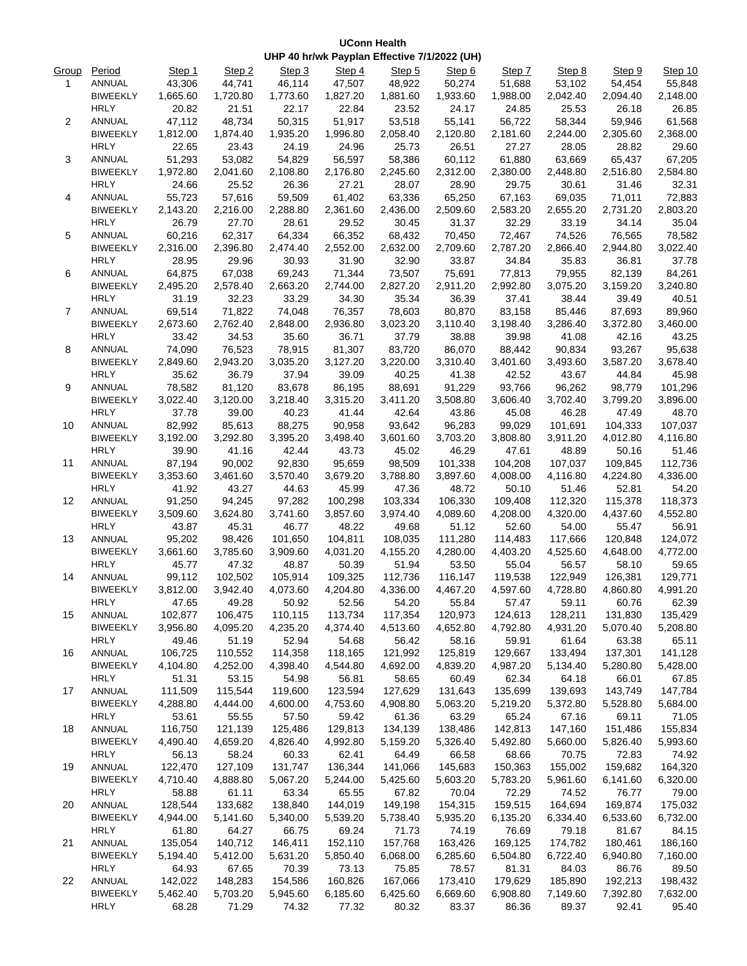## **UConn Health UHP 40 hr/wk Payplan Effective 7/1/2022 (UH)**

| Group | Period          | Step 1   | Step 2   | Step 3   | Step 4   | Step 5   | Step 6   | Step 7                                                                                                                                                                                                                                                                                                                                                                                                                                                                                                                                                                                                                                                                                                                                                                                                                                                                                                                                                                                                                                                                                                                                                                                                   | Step 8   | Step 9                                                                                                                                                                                                                                                                                                                                                                                                                                                                                                                                                                                | Step 10  |
|-------|-----------------|----------|----------|----------|----------|----------|----------|----------------------------------------------------------------------------------------------------------------------------------------------------------------------------------------------------------------------------------------------------------------------------------------------------------------------------------------------------------------------------------------------------------------------------------------------------------------------------------------------------------------------------------------------------------------------------------------------------------------------------------------------------------------------------------------------------------------------------------------------------------------------------------------------------------------------------------------------------------------------------------------------------------------------------------------------------------------------------------------------------------------------------------------------------------------------------------------------------------------------------------------------------------------------------------------------------------|----------|---------------------------------------------------------------------------------------------------------------------------------------------------------------------------------------------------------------------------------------------------------------------------------------------------------------------------------------------------------------------------------------------------------------------------------------------------------------------------------------------------------------------------------------------------------------------------------------|----------|
| 1     | ANNUAL          | 43,306   | 44,741   | 46,114   | 47,507   | 48,922   | 50,274   |                                                                                                                                                                                                                                                                                                                                                                                                                                                                                                                                                                                                                                                                                                                                                                                                                                                                                                                                                                                                                                                                                                                                                                                                          |          |                                                                                                                                                                                                                                                                                                                                                                                                                                                                                                                                                                                       | 55,848   |
|       | <b>BIWEEKLY</b> | 1,665.60 | 1,720.80 | 1,773.60 | 1,827.20 | 1,881.60 | 1,933.60 | 1,988.00                                                                                                                                                                                                                                                                                                                                                                                                                                                                                                                                                                                                                                                                                                                                                                                                                                                                                                                                                                                                                                                                                                                                                                                                 | 2,042.40 | 2,094.40                                                                                                                                                                                                                                                                                                                                                                                                                                                                                                                                                                              | 2,148.00 |
|       | <b>HRLY</b>     | 20.82    | 21.51    | 22.17    | 22.84    | 23.52    | 24.17    | 24.85                                                                                                                                                                                                                                                                                                                                                                                                                                                                                                                                                                                                                                                                                                                                                                                                                                                                                                                                                                                                                                                                                                                                                                                                    | 25.53    | 26.18                                                                                                                                                                                                                                                                                                                                                                                                                                                                                                                                                                                 | 26.85    |
| 2     | ANNUAL          | 47,112   | 48,734   | 50,315   | 51,917   | 53,518   | 55,141   | 56,722                                                                                                                                                                                                                                                                                                                                                                                                                                                                                                                                                                                                                                                                                                                                                                                                                                                                                                                                                                                                                                                                                                                                                                                                   | 58,344   | 59,946                                                                                                                                                                                                                                                                                                                                                                                                                                                                                                                                                                                | 61,568   |
|       | <b>BIWEEKLY</b> | 1,812.00 | 1,874.40 | 1,935.20 | 1,996.80 | 2,058.40 | 2,120.80 | 2,181.60                                                                                                                                                                                                                                                                                                                                                                                                                                                                                                                                                                                                                                                                                                                                                                                                                                                                                                                                                                                                                                                                                                                                                                                                 | 2,244.00 | 2,305.60                                                                                                                                                                                                                                                                                                                                                                                                                                                                                                                                                                              | 2,368.00 |
|       | <b>HRLY</b>     | 22.65    | 23.43    | 24.19    | 24.96    | 25.73    | 26.51    | 27.27                                                                                                                                                                                                                                                                                                                                                                                                                                                                                                                                                                                                                                                                                                                                                                                                                                                                                                                                                                                                                                                                                                                                                                                                    | 28.05    | 28.82                                                                                                                                                                                                                                                                                                                                                                                                                                                                                                                                                                                 | 29.60    |
| 3     | ANNUAL          | 51,293   | 53,082   | 54,829   | 56,597   | 58,386   | 60,112   | 61,880                                                                                                                                                                                                                                                                                                                                                                                                                                                                                                                                                                                                                                                                                                                                                                                                                                                                                                                                                                                                                                                                                                                                                                                                   | 63,669   | 65,437                                                                                                                                                                                                                                                                                                                                                                                                                                                                                                                                                                                | 67,205   |
|       | <b>BIWEEKLY</b> | 1,972.80 | 2,041.60 | 2,108.80 | 2,176.80 | 2,245.60 | 2,312.00 | 2,380.00                                                                                                                                                                                                                                                                                                                                                                                                                                                                                                                                                                                                                                                                                                                                                                                                                                                                                                                                                                                                                                                                                                                                                                                                 | 2,448.80 | 54,454<br>2,516.80<br>31.46<br>71,011<br>2,731.20<br>34.14<br>76,565<br>2,944.80<br>36.81<br>82,139<br>3,159.20<br>39.49<br>87,693<br>3,372.80<br>42.16<br>93,267<br>3,587.20<br>44.84<br>98,779<br>3,799.20<br>47.49<br>104,333<br>4,012.80<br>50.16<br>109,845<br>4,224.80<br>52.81<br>115,378<br>4,437.60<br>55.47<br>120,848<br>4,648.00<br>58.10<br>126,381<br>4,860.80<br>60.76<br>131,830<br>5,070.40<br>63.38<br>137,301<br>5,280.80<br>66.01<br>143,749<br>5,528.80<br>69.11<br>151,486<br>5,826.40<br>72.83<br>159,682<br>6,141.60<br>76.77<br>169,874<br>6,533.60<br>81.67 | 2,584.80 |
|       | <b>HRLY</b>     | 24.66    | 25.52    | 26.36    | 27.21    | 28.07    | 28.90    | 29.75                                                                                                                                                                                                                                                                                                                                                                                                                                                                                                                                                                                                                                                                                                                                                                                                                                                                                                                                                                                                                                                                                                                                                                                                    | 30.61    |                                                                                                                                                                                                                                                                                                                                                                                                                                                                                                                                                                                       | 32.31    |
| 4     | ANNUAL          | 55,723   | 57,616   | 59,509   | 61,402   | 63,336   | 65,250   | 51,688<br>53,102<br>67,163<br>69,035<br>2,583.20<br>2,655.20<br>32.29<br>33.19<br>72,467<br>74,526<br>2,787.20<br>2,866.40<br>34.84<br>35.83<br>77,813<br>79,955<br>2,992.80<br>3,075.20<br>37.41<br>38.44<br>83,158<br>85,446<br>3,198.40<br>3,286.40<br>39.98<br>41.08<br>88,442<br>90,834<br>3,401.60<br>3,493.60<br>42.52<br>43.67<br>93,766<br>96,262<br>3,606.40<br>3,702.40<br>46.28<br>45.08<br>99,029<br>101,691<br>3,808.80<br>3,911.20<br>47.61<br>48.89<br>104,208<br>107,037<br>4,008.00<br>4,116.80<br>50.10<br>51.46<br>109,408<br>112,320<br>4,208.00<br>4,320.00<br>52.60<br>54.00<br>114,483<br>117,666<br>4,403.20<br>4,525.60<br>55.04<br>56.57<br>119,538<br>122,949<br>4,728.80<br>4,597.60<br>59.11<br>57.47<br>124,613<br>128,211<br>4,792.80<br>4,931.20<br>59.91<br>61.64<br>129,667<br>133,494<br>4,987.20<br>5,134.40<br>62.34<br>64.18<br>135,699<br>139,693<br>5,219.20<br>5,372.80<br>65.24<br>67.16<br>142,813<br>147,160<br>5,492.80<br>5,660.00<br>68.66<br>70.75<br>150,363<br>155,002<br>5,783.20<br>5,961.60<br>72.29<br>74.52<br>159,515<br>164,694<br>6,135.20<br>6,334.40<br>76.69<br>79.18<br>169,125<br>174,782<br>180,461<br>6,504.80<br>6,722.40<br>6,940.80 | 72,883   |                                                                                                                                                                                                                                                                                                                                                                                                                                                                                                                                                                                       |          |
|       | <b>BIWEEKLY</b> | 2,143.20 | 2,216.00 | 2,288.80 | 2,361.60 | 2,436.00 | 2,509.60 |                                                                                                                                                                                                                                                                                                                                                                                                                                                                                                                                                                                                                                                                                                                                                                                                                                                                                                                                                                                                                                                                                                                                                                                                          |          |                                                                                                                                                                                                                                                                                                                                                                                                                                                                                                                                                                                       | 2,803.20 |
|       | <b>HRLY</b>     | 26.79    | 27.70    | 28.61    | 29.52    | 30.45    | 31.37    |                                                                                                                                                                                                                                                                                                                                                                                                                                                                                                                                                                                                                                                                                                                                                                                                                                                                                                                                                                                                                                                                                                                                                                                                          |          |                                                                                                                                                                                                                                                                                                                                                                                                                                                                                                                                                                                       | 35.04    |
| 5     | ANNUAL          | 60,216   | 62,317   | 64,334   | 66,352   | 68,432   | 70,450   |                                                                                                                                                                                                                                                                                                                                                                                                                                                                                                                                                                                                                                                                                                                                                                                                                                                                                                                                                                                                                                                                                                                                                                                                          |          |                                                                                                                                                                                                                                                                                                                                                                                                                                                                                                                                                                                       | 78,582   |
|       | <b>BIWEEKLY</b> | 2,316.00 | 2,396.80 | 2,474.40 | 2,552.00 | 2,632.00 | 2,709.60 |                                                                                                                                                                                                                                                                                                                                                                                                                                                                                                                                                                                                                                                                                                                                                                                                                                                                                                                                                                                                                                                                                                                                                                                                          |          |                                                                                                                                                                                                                                                                                                                                                                                                                                                                                                                                                                                       | 3,022.40 |
|       | <b>HRLY</b>     | 28.95    | 29.96    | 30.93    | 31.90    | 32.90    | 33.87    |                                                                                                                                                                                                                                                                                                                                                                                                                                                                                                                                                                                                                                                                                                                                                                                                                                                                                                                                                                                                                                                                                                                                                                                                          |          |                                                                                                                                                                                                                                                                                                                                                                                                                                                                                                                                                                                       | 37.78    |
| 6     | ANNUAL          | 64,875   | 67,038   | 69,243   | 71,344   | 73,507   | 75,691   |                                                                                                                                                                                                                                                                                                                                                                                                                                                                                                                                                                                                                                                                                                                                                                                                                                                                                                                                                                                                                                                                                                                                                                                                          |          |                                                                                                                                                                                                                                                                                                                                                                                                                                                                                                                                                                                       | 84,261   |
|       | <b>BIWEEKLY</b> | 2,495.20 | 2,578.40 | 2,663.20 | 2,744.00 | 2,827.20 | 2,911.20 |                                                                                                                                                                                                                                                                                                                                                                                                                                                                                                                                                                                                                                                                                                                                                                                                                                                                                                                                                                                                                                                                                                                                                                                                          |          |                                                                                                                                                                                                                                                                                                                                                                                                                                                                                                                                                                                       | 3,240.80 |
|       | <b>HRLY</b>     | 31.19    | 32.23    | 33.29    | 34.30    | 35.34    | 36.39    |                                                                                                                                                                                                                                                                                                                                                                                                                                                                                                                                                                                                                                                                                                                                                                                                                                                                                                                                                                                                                                                                                                                                                                                                          |          |                                                                                                                                                                                                                                                                                                                                                                                                                                                                                                                                                                                       | 40.51    |
| 7     | ANNUAL          | 69,514   | 71,822   | 74,048   | 76,357   | 78,603   | 80,870   |                                                                                                                                                                                                                                                                                                                                                                                                                                                                                                                                                                                                                                                                                                                                                                                                                                                                                                                                                                                                                                                                                                                                                                                                          |          |                                                                                                                                                                                                                                                                                                                                                                                                                                                                                                                                                                                       | 89,960   |
|       | <b>BIWEEKLY</b> | 2,673.60 | 2,762.40 | 2,848.00 | 2,936.80 | 3,023.20 | 3,110.40 |                                                                                                                                                                                                                                                                                                                                                                                                                                                                                                                                                                                                                                                                                                                                                                                                                                                                                                                                                                                                                                                                                                                                                                                                          |          |                                                                                                                                                                                                                                                                                                                                                                                                                                                                                                                                                                                       | 3,460.00 |
|       | <b>HRLY</b>     | 33.42    | 34.53    | 35.60    | 36.71    | 37.79    | 38.88    |                                                                                                                                                                                                                                                                                                                                                                                                                                                                                                                                                                                                                                                                                                                                                                                                                                                                                                                                                                                                                                                                                                                                                                                                          |          |                                                                                                                                                                                                                                                                                                                                                                                                                                                                                                                                                                                       | 43.25    |
| 8     | <b>ANNUAL</b>   | 74,090   | 76,523   | 78,915   | 81,307   | 83,720   | 86.070   |                                                                                                                                                                                                                                                                                                                                                                                                                                                                                                                                                                                                                                                                                                                                                                                                                                                                                                                                                                                                                                                                                                                                                                                                          |          |                                                                                                                                                                                                                                                                                                                                                                                                                                                                                                                                                                                       | 95,638   |
|       | <b>BIWEEKLY</b> | 2,849.60 | 2,943.20 | 3,035.20 | 3,127.20 | 3,220.00 | 3,310.40 |                                                                                                                                                                                                                                                                                                                                                                                                                                                                                                                                                                                                                                                                                                                                                                                                                                                                                                                                                                                                                                                                                                                                                                                                          |          |                                                                                                                                                                                                                                                                                                                                                                                                                                                                                                                                                                                       | 3,678.40 |
|       | <b>HRLY</b>     | 35.62    | 36.79    | 37.94    | 39.09    | 40.25    | 41.38    |                                                                                                                                                                                                                                                                                                                                                                                                                                                                                                                                                                                                                                                                                                                                                                                                                                                                                                                                                                                                                                                                                                                                                                                                          |          |                                                                                                                                                                                                                                                                                                                                                                                                                                                                                                                                                                                       | 45.98    |
| 9     | ANNUAL          | 78,582   | 81,120   | 83,678   | 86,195   | 88,691   | 91,229   |                                                                                                                                                                                                                                                                                                                                                                                                                                                                                                                                                                                                                                                                                                                                                                                                                                                                                                                                                                                                                                                                                                                                                                                                          |          |                                                                                                                                                                                                                                                                                                                                                                                                                                                                                                                                                                                       | 101,296  |
|       | <b>BIWEEKLY</b> | 3,022.40 | 3,120.00 | 3,218.40 | 3,315.20 | 3,411.20 | 3,508.80 |                                                                                                                                                                                                                                                                                                                                                                                                                                                                                                                                                                                                                                                                                                                                                                                                                                                                                                                                                                                                                                                                                                                                                                                                          |          |                                                                                                                                                                                                                                                                                                                                                                                                                                                                                                                                                                                       | 3,896.00 |
|       | <b>HRLY</b>     | 37.78    | 39.00    | 40.23    | 41.44    | 42.64    | 43.86    |                                                                                                                                                                                                                                                                                                                                                                                                                                                                                                                                                                                                                                                                                                                                                                                                                                                                                                                                                                                                                                                                                                                                                                                                          |          |                                                                                                                                                                                                                                                                                                                                                                                                                                                                                                                                                                                       | 48.70    |
| 10    | ANNUAL          | 82,992   | 85,613   | 88,275   | 90,958   | 93,642   | 96,283   |                                                                                                                                                                                                                                                                                                                                                                                                                                                                                                                                                                                                                                                                                                                                                                                                                                                                                                                                                                                                                                                                                                                                                                                                          |          |                                                                                                                                                                                                                                                                                                                                                                                                                                                                                                                                                                                       | 107,037  |
|       | <b>BIWEEKLY</b> | 3,192.00 | 3,292.80 | 3,395.20 | 3,498.40 | 3,601.60 | 3,703.20 |                                                                                                                                                                                                                                                                                                                                                                                                                                                                                                                                                                                                                                                                                                                                                                                                                                                                                                                                                                                                                                                                                                                                                                                                          |          |                                                                                                                                                                                                                                                                                                                                                                                                                                                                                                                                                                                       | 4,116.80 |
|       | <b>HRLY</b>     | 39.90    | 41.16    | 42.44    | 43.73    | 45.02    | 46.29    |                                                                                                                                                                                                                                                                                                                                                                                                                                                                                                                                                                                                                                                                                                                                                                                                                                                                                                                                                                                                                                                                                                                                                                                                          |          |                                                                                                                                                                                                                                                                                                                                                                                                                                                                                                                                                                                       | 51.46    |
| 11    | ANNUAL          | 87,194   | 90,002   | 92,830   | 95,659   | 98,509   | 101,338  |                                                                                                                                                                                                                                                                                                                                                                                                                                                                                                                                                                                                                                                                                                                                                                                                                                                                                                                                                                                                                                                                                                                                                                                                          |          |                                                                                                                                                                                                                                                                                                                                                                                                                                                                                                                                                                                       | 112,736  |
|       | <b>BIWEEKLY</b> | 3,353.60 | 3,461.60 | 3,570.40 | 3,679.20 | 3,788.80 | 3,897.60 |                                                                                                                                                                                                                                                                                                                                                                                                                                                                                                                                                                                                                                                                                                                                                                                                                                                                                                                                                                                                                                                                                                                                                                                                          |          |                                                                                                                                                                                                                                                                                                                                                                                                                                                                                                                                                                                       | 4,336.00 |
|       | <b>HRLY</b>     | 41.92    | 43.27    | 44.63    | 45.99    | 47.36    | 48.72    |                                                                                                                                                                                                                                                                                                                                                                                                                                                                                                                                                                                                                                                                                                                                                                                                                                                                                                                                                                                                                                                                                                                                                                                                          |          |                                                                                                                                                                                                                                                                                                                                                                                                                                                                                                                                                                                       | 54.20    |
| 12    | ANNUAL          | 91,250   | 94,245   | 97,282   | 100,298  | 103,334  | 106,330  |                                                                                                                                                                                                                                                                                                                                                                                                                                                                                                                                                                                                                                                                                                                                                                                                                                                                                                                                                                                                                                                                                                                                                                                                          |          |                                                                                                                                                                                                                                                                                                                                                                                                                                                                                                                                                                                       | 118,373  |
|       | <b>BIWEEKLY</b> | 3,509.60 | 3,624.80 | 3,741.60 | 3,857.60 | 3,974.40 | 4,089.60 |                                                                                                                                                                                                                                                                                                                                                                                                                                                                                                                                                                                                                                                                                                                                                                                                                                                                                                                                                                                                                                                                                                                                                                                                          |          |                                                                                                                                                                                                                                                                                                                                                                                                                                                                                                                                                                                       | 4,552.80 |
|       | <b>HRLY</b>     | 43.87    | 45.31    | 46.77    | 48.22    | 49.68    | 51.12    |                                                                                                                                                                                                                                                                                                                                                                                                                                                                                                                                                                                                                                                                                                                                                                                                                                                                                                                                                                                                                                                                                                                                                                                                          |          |                                                                                                                                                                                                                                                                                                                                                                                                                                                                                                                                                                                       | 56.91    |
| 13    | ANNUAL          | 95,202   | 98,426   | 101,650  | 104,811  | 108,035  | 111,280  |                                                                                                                                                                                                                                                                                                                                                                                                                                                                                                                                                                                                                                                                                                                                                                                                                                                                                                                                                                                                                                                                                                                                                                                                          |          |                                                                                                                                                                                                                                                                                                                                                                                                                                                                                                                                                                                       | 124,072  |
|       | <b>BIWEEKLY</b> | 3,661.60 | 3,785.60 | 3,909.60 | 4,031.20 | 4,155.20 | 4,280.00 |                                                                                                                                                                                                                                                                                                                                                                                                                                                                                                                                                                                                                                                                                                                                                                                                                                                                                                                                                                                                                                                                                                                                                                                                          |          |                                                                                                                                                                                                                                                                                                                                                                                                                                                                                                                                                                                       | 4,772.00 |
|       | <b>HRLY</b>     | 45.77    | 47.32    | 48.87    | 50.39    | 51.94    | 53.50    |                                                                                                                                                                                                                                                                                                                                                                                                                                                                                                                                                                                                                                                                                                                                                                                                                                                                                                                                                                                                                                                                                                                                                                                                          |          |                                                                                                                                                                                                                                                                                                                                                                                                                                                                                                                                                                                       | 59.65    |
| 14    | ANNUAL          | 99,112   | 102,502  | 105,914  | 109,325  | 112,736  | 116,147  |                                                                                                                                                                                                                                                                                                                                                                                                                                                                                                                                                                                                                                                                                                                                                                                                                                                                                                                                                                                                                                                                                                                                                                                                          |          |                                                                                                                                                                                                                                                                                                                                                                                                                                                                                                                                                                                       | 129,771  |
|       | <b>BIWEEKLY</b> | 3,812.00 | 3,942.40 | 4,073.60 | 4,204.80 | 4,336.00 | 4,467.20 |                                                                                                                                                                                                                                                                                                                                                                                                                                                                                                                                                                                                                                                                                                                                                                                                                                                                                                                                                                                                                                                                                                                                                                                                          |          |                                                                                                                                                                                                                                                                                                                                                                                                                                                                                                                                                                                       | 4,991.20 |
|       | <b>HRLY</b>     | 47.65    | 49.28    | 50.92    | 52.56    | 54.20    | 55.84    |                                                                                                                                                                                                                                                                                                                                                                                                                                                                                                                                                                                                                                                                                                                                                                                                                                                                                                                                                                                                                                                                                                                                                                                                          |          |                                                                                                                                                                                                                                                                                                                                                                                                                                                                                                                                                                                       | 62.39    |
| 15    | ANNUAL          | 102,877  | 106,475  | 110,115  | 113,734  | 117,354  | 120,973  |                                                                                                                                                                                                                                                                                                                                                                                                                                                                                                                                                                                                                                                                                                                                                                                                                                                                                                                                                                                                                                                                                                                                                                                                          |          |                                                                                                                                                                                                                                                                                                                                                                                                                                                                                                                                                                                       | 135,429  |
|       | <b>BIWEEKLY</b> | 3,956.80 | 4,095.20 | 4,235.20 | 4,374.40 | 4,513.60 | 4,652.80 |                                                                                                                                                                                                                                                                                                                                                                                                                                                                                                                                                                                                                                                                                                                                                                                                                                                                                                                                                                                                                                                                                                                                                                                                          |          |                                                                                                                                                                                                                                                                                                                                                                                                                                                                                                                                                                                       | 5,208.80 |
|       | <b>HRLY</b>     | 49.46    | 51.19    | 52.94    | 54.68    | 56.42    | 58.16    |                                                                                                                                                                                                                                                                                                                                                                                                                                                                                                                                                                                                                                                                                                                                                                                                                                                                                                                                                                                                                                                                                                                                                                                                          |          |                                                                                                                                                                                                                                                                                                                                                                                                                                                                                                                                                                                       | 65.11    |
| 16    | ANNUAL          | 106,725  | 110,552  | 114,358  | 118,165  | 121,992  | 125,819  |                                                                                                                                                                                                                                                                                                                                                                                                                                                                                                                                                                                                                                                                                                                                                                                                                                                                                                                                                                                                                                                                                                                                                                                                          |          |                                                                                                                                                                                                                                                                                                                                                                                                                                                                                                                                                                                       | 141,128  |
|       | <b>BIWEEKLY</b> | 4,104.80 | 4,252.00 | 4,398.40 | 4,544.80 | 4,692.00 | 4,839.20 |                                                                                                                                                                                                                                                                                                                                                                                                                                                                                                                                                                                                                                                                                                                                                                                                                                                                                                                                                                                                                                                                                                                                                                                                          |          |                                                                                                                                                                                                                                                                                                                                                                                                                                                                                                                                                                                       | 5,428.00 |
|       | <b>HRLY</b>     | 51.31    | 53.15    | 54.98    | 56.81    | 58.65    | 60.49    |                                                                                                                                                                                                                                                                                                                                                                                                                                                                                                                                                                                                                                                                                                                                                                                                                                                                                                                                                                                                                                                                                                                                                                                                          |          |                                                                                                                                                                                                                                                                                                                                                                                                                                                                                                                                                                                       | 67.85    |
| 17    | ANNUAL          | 111,509  | 115,544  | 119,600  | 123,594  | 127,629  | 131,643  |                                                                                                                                                                                                                                                                                                                                                                                                                                                                                                                                                                                                                                                                                                                                                                                                                                                                                                                                                                                                                                                                                                                                                                                                          |          |                                                                                                                                                                                                                                                                                                                                                                                                                                                                                                                                                                                       | 147,784  |
|       | <b>BIWEEKLY</b> | 4,288.80 | 4,444.00 | 4,600.00 | 4,753.60 | 4,908.80 | 5,063.20 |                                                                                                                                                                                                                                                                                                                                                                                                                                                                                                                                                                                                                                                                                                                                                                                                                                                                                                                                                                                                                                                                                                                                                                                                          |          |                                                                                                                                                                                                                                                                                                                                                                                                                                                                                                                                                                                       | 5,684.00 |
|       | <b>HRLY</b>     | 53.61    | 55.55    | 57.50    | 59.42    | 61.36    | 63.29    |                                                                                                                                                                                                                                                                                                                                                                                                                                                                                                                                                                                                                                                                                                                                                                                                                                                                                                                                                                                                                                                                                                                                                                                                          |          |                                                                                                                                                                                                                                                                                                                                                                                                                                                                                                                                                                                       | 71.05    |
| 18    | ANNUAL          | 116,750  | 121,139  | 125,486  | 129,813  | 134,139  | 138,486  |                                                                                                                                                                                                                                                                                                                                                                                                                                                                                                                                                                                                                                                                                                                                                                                                                                                                                                                                                                                                                                                                                                                                                                                                          |          |                                                                                                                                                                                                                                                                                                                                                                                                                                                                                                                                                                                       | 155,834  |
|       | <b>BIWEEKLY</b> | 4,490.40 | 4,659.20 | 4,826.40 | 4,992.80 | 5,159.20 | 5,326.40 |                                                                                                                                                                                                                                                                                                                                                                                                                                                                                                                                                                                                                                                                                                                                                                                                                                                                                                                                                                                                                                                                                                                                                                                                          |          |                                                                                                                                                                                                                                                                                                                                                                                                                                                                                                                                                                                       | 5,993.60 |
|       | <b>HRLY</b>     | 56.13    | 58.24    | 60.33    | 62.41    | 64.49    | 66.58    |                                                                                                                                                                                                                                                                                                                                                                                                                                                                                                                                                                                                                                                                                                                                                                                                                                                                                                                                                                                                                                                                                                                                                                                                          |          |                                                                                                                                                                                                                                                                                                                                                                                                                                                                                                                                                                                       | 74.92    |
| 19    | ANNUAL          | 122,470  | 127,109  | 131,747  | 136,344  | 141,066  | 145,683  |                                                                                                                                                                                                                                                                                                                                                                                                                                                                                                                                                                                                                                                                                                                                                                                                                                                                                                                                                                                                                                                                                                                                                                                                          |          |                                                                                                                                                                                                                                                                                                                                                                                                                                                                                                                                                                                       | 164,320  |
|       | <b>BIWEEKLY</b> | 4,710.40 | 4,888.80 | 5,067.20 | 5,244.00 | 5,425.60 | 5,603.20 |                                                                                                                                                                                                                                                                                                                                                                                                                                                                                                                                                                                                                                                                                                                                                                                                                                                                                                                                                                                                                                                                                                                                                                                                          |          |                                                                                                                                                                                                                                                                                                                                                                                                                                                                                                                                                                                       | 6,320.00 |
|       | <b>HRLY</b>     | 58.88    | 61.11    | 63.34    | 65.55    | 67.82    | 70.04    |                                                                                                                                                                                                                                                                                                                                                                                                                                                                                                                                                                                                                                                                                                                                                                                                                                                                                                                                                                                                                                                                                                                                                                                                          |          |                                                                                                                                                                                                                                                                                                                                                                                                                                                                                                                                                                                       | 79.00    |
| 20    | ANNUAL          | 128,544  | 133,682  | 138,840  | 144,019  | 149,198  | 154,315  |                                                                                                                                                                                                                                                                                                                                                                                                                                                                                                                                                                                                                                                                                                                                                                                                                                                                                                                                                                                                                                                                                                                                                                                                          |          |                                                                                                                                                                                                                                                                                                                                                                                                                                                                                                                                                                                       | 175,032  |
|       | <b>BIWEEKLY</b> | 4,944.00 | 5,141.60 | 5,340.00 | 5,539.20 | 5,738.40 | 5,935.20 |                                                                                                                                                                                                                                                                                                                                                                                                                                                                                                                                                                                                                                                                                                                                                                                                                                                                                                                                                                                                                                                                                                                                                                                                          |          |                                                                                                                                                                                                                                                                                                                                                                                                                                                                                                                                                                                       | 6,732.00 |
|       | <b>HRLY</b>     | 61.80    | 64.27    | 66.75    | 69.24    | 71.73    | 74.19    |                                                                                                                                                                                                                                                                                                                                                                                                                                                                                                                                                                                                                                                                                                                                                                                                                                                                                                                                                                                                                                                                                                                                                                                                          |          |                                                                                                                                                                                                                                                                                                                                                                                                                                                                                                                                                                                       | 84.15    |
| 21    | ANNUAL          | 135,054  | 140,712  | 146,411  | 152,110  | 157,768  | 163,426  |                                                                                                                                                                                                                                                                                                                                                                                                                                                                                                                                                                                                                                                                                                                                                                                                                                                                                                                                                                                                                                                                                                                                                                                                          |          |                                                                                                                                                                                                                                                                                                                                                                                                                                                                                                                                                                                       | 186,160  |
|       | <b>BIWEEKLY</b> | 5,194.40 | 5,412.00 | 5,631.20 | 5,850.40 | 6,068.00 | 6,285.60 |                                                                                                                                                                                                                                                                                                                                                                                                                                                                                                                                                                                                                                                                                                                                                                                                                                                                                                                                                                                                                                                                                                                                                                                                          |          |                                                                                                                                                                                                                                                                                                                                                                                                                                                                                                                                                                                       | 7,160.00 |
|       | <b>HRLY</b>     | 64.93    | 67.65    | 70.39    | 73.13    | 75.85    | 78.57    | 81.31                                                                                                                                                                                                                                                                                                                                                                                                                                                                                                                                                                                                                                                                                                                                                                                                                                                                                                                                                                                                                                                                                                                                                                                                    | 84.03    | 86.76                                                                                                                                                                                                                                                                                                                                                                                                                                                                                                                                                                                 | 89.50    |
| 22    | ANNUAL          | 142,022  | 148,283  | 154,586  | 160,826  | 167,066  | 173,410  | 179,629                                                                                                                                                                                                                                                                                                                                                                                                                                                                                                                                                                                                                                                                                                                                                                                                                                                                                                                                                                                                                                                                                                                                                                                                  | 185,890  | 192,213                                                                                                                                                                                                                                                                                                                                                                                                                                                                                                                                                                               | 198,432  |
|       | <b>BIWEEKLY</b> | 5,462.40 | 5,703.20 | 5,945.60 | 6,185.60 | 6,425.60 | 6,669.60 | 6,908.80                                                                                                                                                                                                                                                                                                                                                                                                                                                                                                                                                                                                                                                                                                                                                                                                                                                                                                                                                                                                                                                                                                                                                                                                 | 7,149.60 | 7,392.80                                                                                                                                                                                                                                                                                                                                                                                                                                                                                                                                                                              | 7,632.00 |
|       | <b>HRLY</b>     | 68.28    | 71.29    | 74.32    | 77.32    | 80.32    | 83.37    | 86.36                                                                                                                                                                                                                                                                                                                                                                                                                                                                                                                                                                                                                                                                                                                                                                                                                                                                                                                                                                                                                                                                                                                                                                                                    | 89.37    | 92.41                                                                                                                                                                                                                                                                                                                                                                                                                                                                                                                                                                                 | 95.40    |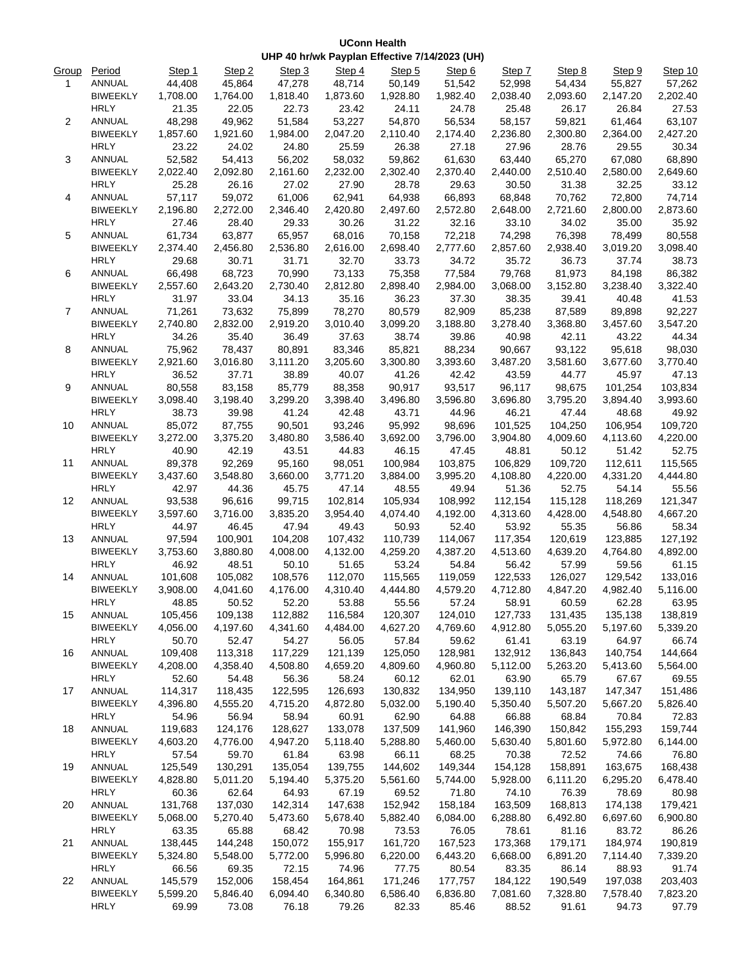|                |                 |          |          |                                               |          | <b>UConn Health</b> |          |          |          |          |          |
|----------------|-----------------|----------|----------|-----------------------------------------------|----------|---------------------|----------|----------|----------|----------|----------|
|                |                 |          |          | UHP 40 hr/wk Payplan Effective 7/14/2023 (UH) |          |                     |          |          |          |          |          |
| Group          | Period          | Step 1   | Step 2   | Step 3                                        | Step 4   | Step 5              | Step 6   | Step 7   | Step 8   | Step 9   | Step 10  |
| 1              | ANNUAL          | 44,408   | 45,864   | 47,278                                        | 48,714   | 50,149              | 51,542   | 52,998   | 54,434   | 55,827   | 57,262   |
|                | <b>BIWEEKLY</b> | 1,708.00 | 1,764.00 | 1,818.40                                      | 1,873.60 | 1,928.80            | 1,982.40 | 2,038.40 | 2,093.60 | 2,147.20 | 2,202.40 |
|                | <b>HRLY</b>     | 21.35    | 22.05    | 22.73                                         | 23.42    | 24.11               | 24.78    | 25.48    | 26.17    | 26.84    | 27.53    |
| $\overline{2}$ | ANNUAL          | 48,298   | 49,962   | 51,584                                        | 53,227   | 54,870              | 56,534   | 58,157   | 59,821   | 61,464   | 63,107   |
|                | <b>BIWEEKLY</b> | 1,857.60 | 1,921.60 | 1,984.00                                      | 2,047.20 | 2,110.40            | 2,174.40 | 2,236.80 | 2,300.80 | 2,364.00 | 2,427.20 |
|                | <b>HRLY</b>     | 23.22    | 24.02    | 24.80                                         | 25.59    | 26.38               | 27.18    | 27.96    | 28.76    | 29.55    | 30.34    |
| 3              | ANNUAL          | 52,582   | 54,413   | 56,202                                        | 58,032   | 59,862              | 61,630   | 63,440   | 65,270   | 67,080   | 68,890   |
|                | <b>BIWEEKLY</b> | 2,022.40 | 2,092.80 | 2,161.60                                      | 2,232.00 | 2,302.40            | 2,370.40 | 2,440.00 | 2,510.40 | 2,580.00 | 2,649.60 |
|                | <b>HRLY</b>     | 25.28    | 26.16    | 27.02                                         | 27.90    | 28.78               | 29.63    | 30.50    | 31.38    | 32.25    | 33.12    |
| 4              | ANNUAL          | 57,117   | 59,072   | 61,006                                        | 62,941   | 64,938              | 66,893   | 68,848   | 70,762   | 72,800   | 74,714   |
|                | <b>BIWEEKLY</b> | 2,196.80 | 2,272.00 | 2,346.40                                      | 2,420.80 | 2,497.60            | 2,572.80 | 2,648.00 | 2,721.60 | 2,800.00 | 2,873.60 |
|                | <b>HRLY</b>     | 27.46    | 28.40    | 29.33                                         | 30.26    | 31.22               | 32.16    | 33.10    | 34.02    | 35.00    | 35.92    |
| 5              | ANNUAL          | 61,734   | 63,877   | 65,957                                        | 68,016   | 70,158              | 72,218   | 74,298   | 76,398   | 78,499   | 80,558   |
|                | <b>BIWEEKLY</b> | 2,374.40 | 2,456.80 | 2,536.80                                      | 2,616.00 | 2,698.40            | 2,777.60 | 2,857.60 | 2,938.40 | 3,019.20 | 3,098.40 |
|                | <b>HRLY</b>     | 29.68    | 30.71    | 31.71                                         | 32.70    | 33.73               | 34.72    | 35.72    | 36.73    | 37.74    | 38.73    |
| 6              | <b>ANNUAL</b>   | 66,498   | 68,723   | 70,990                                        | 73,133   | 75,358              | 77,584   | 79,768   | 81,973   | 84,198   | 86,382   |
|                | <b>BIWEEKLY</b> | 2,557.60 | 2,643.20 | 2,730.40                                      | 2,812.80 | 2,898.40            | 2,984.00 | 3,068.00 | 3,152.80 | 3,238.40 | 3,322.40 |
|                | <b>HRLY</b>     | 31.97    | 33.04    | 34.13                                         | 35.16    | 36.23               | 37.30    | 38.35    | 39.41    | 40.48    | 41.53    |
| $\overline{7}$ | ANNUAL          | 71,261   | 73,632   | 75,899                                        | 78,270   | 80,579              | 82,909   | 85,238   | 87,589   | 89,898   | 92,227   |
|                | <b>BIWEEKLY</b> | 2,740.80 | 2,832.00 | 2,919.20                                      | 3,010.40 | 3,099.20            | 3,188.80 | 3,278.40 | 3,368.80 | 3,457.60 | 3,547.20 |
|                | <b>HRLY</b>     | 34.26    | 35.40    | 36.49                                         | 37.63    | 38.74               | 39.86    | 40.98    | 42.11    | 43.22    | 44.34    |
| 8              | ANNUAL          | 75,962   | 78,437   | 80,891                                        | 83,346   | 85,821              | 88,234   | 90,667   | 93,122   | 95,618   | 98,030   |
|                | <b>BIWEEKLY</b> | 2,921.60 | 3,016.80 | 3,111.20                                      | 3,205.60 | 3,300.80            | 3,393.60 | 3,487.20 | 3,581.60 | 3,677.60 | 3,770.40 |
|                | <b>HRLY</b>     | 36.52    | 37.71    | 38.89                                         | 40.07    | 41.26               | 42.42    | 43.59    | 44.77    | 45.97    | 47.13    |
| 9              | ANNUAL          | 80,558   | 83,158   | 85,779                                        | 88,358   | 90,917              | 93,517   | 96,117   | 98,675   | 101,254  | 103,834  |
|                | <b>BIWEEKLY</b> | 3,098.40 | 3,198.40 | 3,299.20                                      | 3,398.40 | 3,496.80            | 3,596.80 | 3,696.80 | 3,795.20 | 3,894.40 | 3,993.60 |
|                | <b>HRLY</b>     | 38.73    | 39.98    | 41.24                                         | 42.48    | 43.71               | 44.96    | 46.21    | 47.44    | 48.68    | 49.92    |
| 10             | <b>ANNUAL</b>   | 85,072   | 87,755   | 90,501                                        | 93,246   | 95,992              | 98,696   | 101,525  | 104,250  | 106,954  | 109,720  |
|                | <b>BIWEEKLY</b> | 3,272.00 | 3,375.20 | 3,480.80                                      | 3,586.40 | 3,692.00            | 3,796.00 | 3,904.80 | 4,009.60 | 4,113.60 | 4,220.00 |
|                | HRI Y.          | 40.90    | 42.19    | 43.51                                         | 44.83    | 46 15               | 4745     | 48.81    | 50.12    | 51.42    | 5275     |

|                   | BIWEEKLY        | 3,272.00 | 3,375.20 | 3,480.80 | 3,586.40 | 3,692.00 | 3,796.00 | 3,904.80 | 4,009.60 | 4,113.60 | 4,220.00 |
|-------------------|-----------------|----------|----------|----------|----------|----------|----------|----------|----------|----------|----------|
|                   | <b>HRLY</b>     | 40.90    | 42.19    | 43.51    | 44.83    | 46.15    | 47.45    | 48.81    | 50.12    | 51.42    | 52.75    |
| 11                | ANNUAL          | 89,378   | 92,269   | 95,160   | 98,051   | 100,984  | 103,875  | 106,829  | 109,720  | 112,611  | 115,565  |
|                   | <b>BIWEEKLY</b> | 3,437.60 | 3,548.80 | 3,660.00 | 3,771.20 | 3,884.00 | 3,995.20 | 4,108.80 | 4,220.00 | 4,331.20 | 4,444.80 |
|                   | <b>HRLY</b>     | 42.97    | 44.36    | 45.75    | 47.14    | 48.55    | 49.94    | 51.36    | 52.75    | 54.14    | 55.56    |
| $12 \overline{ }$ | ANNUAL          | 93,538   | 96,616   | 99,715   | 102,814  | 105,934  | 108,992  | 112,154  | 115,128  | 118,269  | 121,347  |
|                   | <b>BIWEEKLY</b> | 3,597.60 | 3,716.00 | 3,835.20 | 3,954.40 | 4,074.40 | 4,192.00 | 4,313.60 | 4,428.00 | 4,548.80 | 4,667.20 |
|                   | <b>HRLY</b>     | 44.97    | 46.45    | 47.94    | 49.43    | 50.93    | 52.40    | 53.92    | 55.35    | 56.86    | 58.34    |
| 13                | ANNUAL          | 97,594   | 100,901  | 104,208  | 107,432  | 110,739  | 114,067  | 117,354  | 120,619  | 123,885  | 127,192  |
|                   | <b>BIWEEKLY</b> | 3,753.60 | 3,880.80 | 4,008.00 | 4,132.00 | 4,259.20 | 4,387.20 | 4,513.60 | 4,639.20 | 4,764.80 | 4,892.00 |
|                   | <b>HRLY</b>     | 46.92    | 48.51    | 50.10    | 51.65    | 53.24    | 54.84    | 56.42    | 57.99    | 59.56    | 61.15    |
| 14                | ANNUAL          | 101,608  | 105,082  | 108,576  | 112,070  | 115,565  | 119,059  | 122,533  | 126,027  | 129,542  | 133,016  |
|                   | <b>BIWEEKLY</b> | 3,908.00 | 4,041.60 | 4,176.00 | 4,310.40 | 4,444.80 | 4,579.20 | 4,712.80 | 4,847.20 | 4,982.40 | 5,116.00 |
|                   | <b>HRLY</b>     | 48.85    | 50.52    | 52.20    | 53.88    | 55.56    | 57.24    | 58.91    | 60.59    | 62.28    | 63.95    |
| 15                | ANNUAL          | 105,456  | 109,138  | 112,882  | 116,584  | 120,307  | 124,010  | 127,733  | 131,435  | 135,138  | 138,819  |
|                   | <b>BIWEEKLY</b> | 4,056.00 | 4,197.60 | 4,341.60 | 4,484.00 | 4,627.20 | 4,769.60 | 4,912.80 | 5,055.20 | 5,197.60 | 5,339.20 |
|                   | <b>HRLY</b>     | 50.70    | 52.47    | 54.27    | 56.05    | 57.84    | 59.62    | 61.41    | 63.19    | 64.97    | 66.74    |
| 16                | ANNUAL          | 109,408  | 113,318  | 117,229  | 121,139  | 125,050  | 128,981  | 132,912  | 136,843  | 140,754  | 144,664  |
|                   | <b>BIWEEKLY</b> | 4,208.00 | 4,358.40 | 4,508.80 | 4,659.20 | 4,809.60 | 4,960.80 | 5,112.00 | 5,263.20 | 5,413.60 | 5,564.00 |
|                   | <b>HRLY</b>     | 52.60    | 54.48    | 56.36    | 58.24    | 60.12    | 62.01    | 63.90    | 65.79    | 67.67    | 69.55    |
| 17                | ANNUAL          | 114,317  | 118,435  | 122,595  | 126,693  | 130,832  | 134,950  | 139,110  | 143,187  | 147,347  | 151,486  |
|                   | <b>BIWEEKLY</b> | 4,396.80 | 4,555.20 | 4,715.20 | 4,872.80 | 5,032.00 | 5,190.40 | 5,350.40 | 5,507.20 | 5,667.20 | 5,826.40 |
|                   | <b>HRLY</b>     | 54.96    | 56.94    | 58.94    | 60.91    | 62.90    | 64.88    | 66.88    | 68.84    | 70.84    | 72.83    |
| 18                | ANNUAL          | 119,683  | 124,176  | 128,627  | 133,078  | 137,509  | 141,960  | 146,390  | 150,842  | 155,293  | 159,744  |
|                   | <b>BIWEEKLY</b> | 4,603.20 | 4,776.00 | 4,947.20 | 5,118.40 | 5,288.80 | 5,460.00 | 5,630.40 | 5,801.60 | 5,972.80 | 6,144.00 |
|                   | <b>HRLY</b>     | 57.54    | 59.70    | 61.84    | 63.98    | 66.11    | 68.25    | 70.38    | 72.52    | 74.66    | 76.80    |
| 19                | ANNUAL          | 125,549  | 130,291  | 135,054  | 139,755  | 144,602  | 149,344  | 154,128  | 158,891  | 163,675  | 168,438  |
|                   | <b>BIWEEKLY</b> | 4,828.80 | 5,011.20 | 5,194.40 | 5,375.20 | 5,561.60 | 5,744.00 | 5,928.00 | 6,111.20 | 6,295.20 | 6,478.40 |
|                   | <b>HRLY</b>     | 60.36    | 62.64    | 64.93    | 67.19    | 69.52    | 71.80    | 74.10    | 76.39    | 78.69    | 80.98    |
| 20                | ANNUAL          | 131,768  | 137,030  | 142,314  | 147,638  | 152,942  | 158,184  | 163,509  | 168,813  | 174,138  | 179,421  |
|                   | <b>BIWEEKLY</b> | 5,068.00 | 5,270.40 | 5,473.60 | 5,678.40 | 5,882.40 | 6,084.00 | 6,288.80 | 6,492.80 | 6,697.60 | 6,900.80 |
|                   | <b>HRLY</b>     | 63.35    | 65.88    | 68.42    | 70.98    | 73.53    | 76.05    | 78.61    | 81.16    | 83.72    | 86.26    |
| 21                | ANNUAL          | 138,445  | 144,248  | 150,072  | 155,917  | 161,720  | 167,523  | 173,368  | 179,171  | 184,974  | 190,819  |
|                   | <b>BIWEEKLY</b> | 5,324.80 | 5,548.00 | 5,772.00 | 5,996.80 | 6,220.00 | 6,443.20 | 6,668.00 | 6,891.20 | 7,114.40 | 7,339.20 |
|                   | <b>HRLY</b>     | 66.56    | 69.35    | 72.15    | 74.96    | 77.75    | 80.54    | 83.35    | 86.14    | 88.93    | 91.74    |

22 ANNUAL 145,579 152,006 158,454 164,861 171,246 177,757 184,122 190,549 197,038 203,403 BIWEEKLY 5,599.20 5,846.40 6,094.40 6,340.80 6,586.40 6,836.80 7,081.60 7,328.80 7,578.40 7,823.20 HRLY 69.99 73.08 76.18 79.26 82.33 85.46 88.52 91.61 94.73 97.79